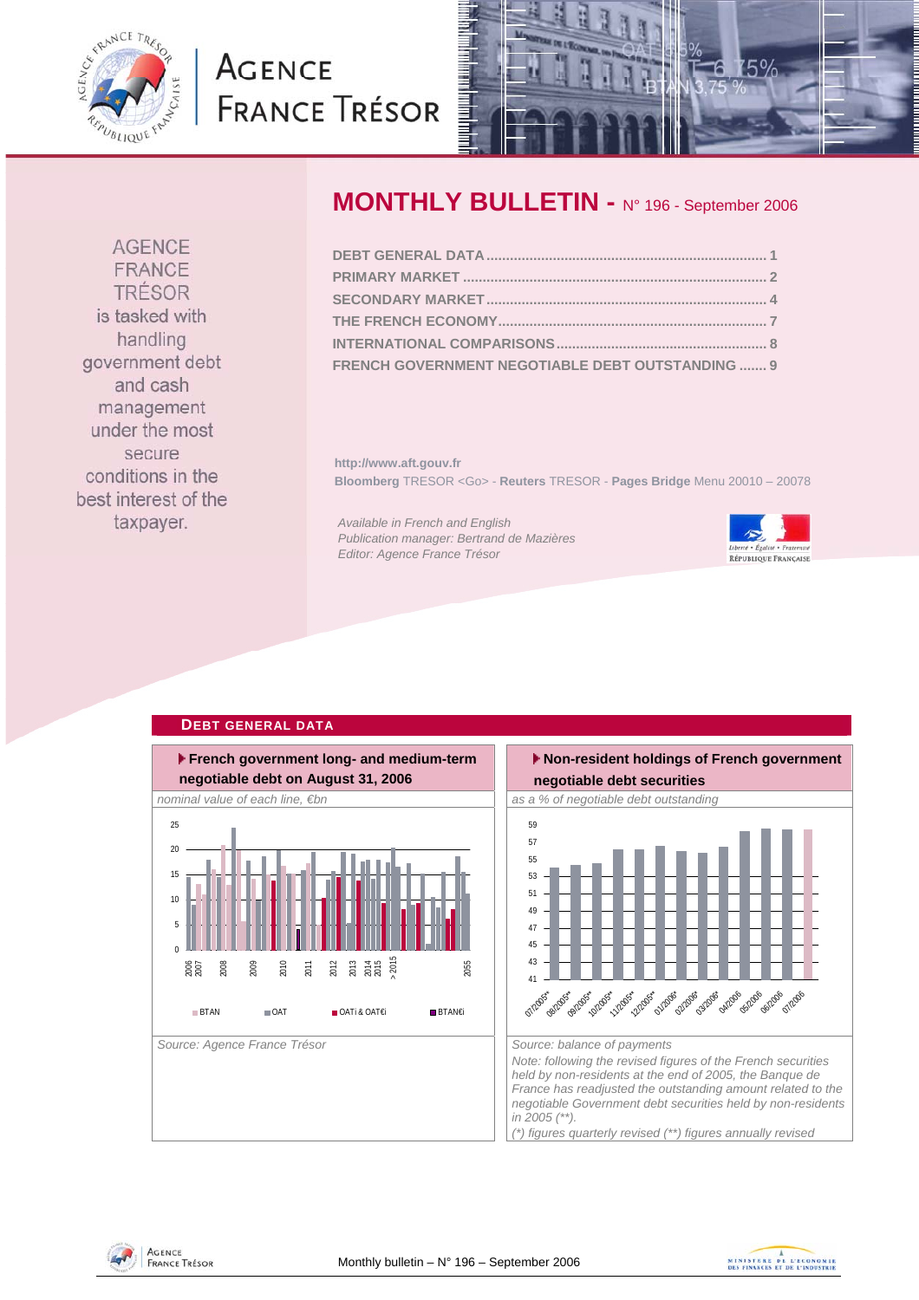<span id="page-0-0"></span>

# **AGENCE FRANCE TRÉSOR**



# **MONTHLY BULLETIN -** N° 196 - September 2006

| FRENCH GOVERNMENT NEGOTIABLE DEBT OUTSTANDING  9 |  |
|--------------------------------------------------|--|

**http://www.aft.gouv.fr Bloomberg** TRESOR <Go> - **Reuters** TRESOR - **Pages Bridge** Menu 20010 – 20078

*Available in French and English Publication manager: Bertrand de Mazières Editor: Agence France Trésor* 



### **French government long- and medium-term negotiable debt on August 31, 2006** *nominal value of each line, €bn* as a % of negotiable debt outstanding as a % of negotiable debt outstanding Source: Agence France Trésor **Source: balance of payments** Source: balance of payments  $\overline{0}$ 5 10 15 20  $25 - 25$ 2006 2007 2008 2009 2010 2011 2012 2013<br>2015<br>2015 2055 **BTAN OAT OATI&OATE**i BTAN€i



**AGENCE** FRANCE TRÉSOR is tasked with handling government debt and cash management under the most secure conditions in the best interest of the taxpayer.

### **DEBT GENERAL DATA**



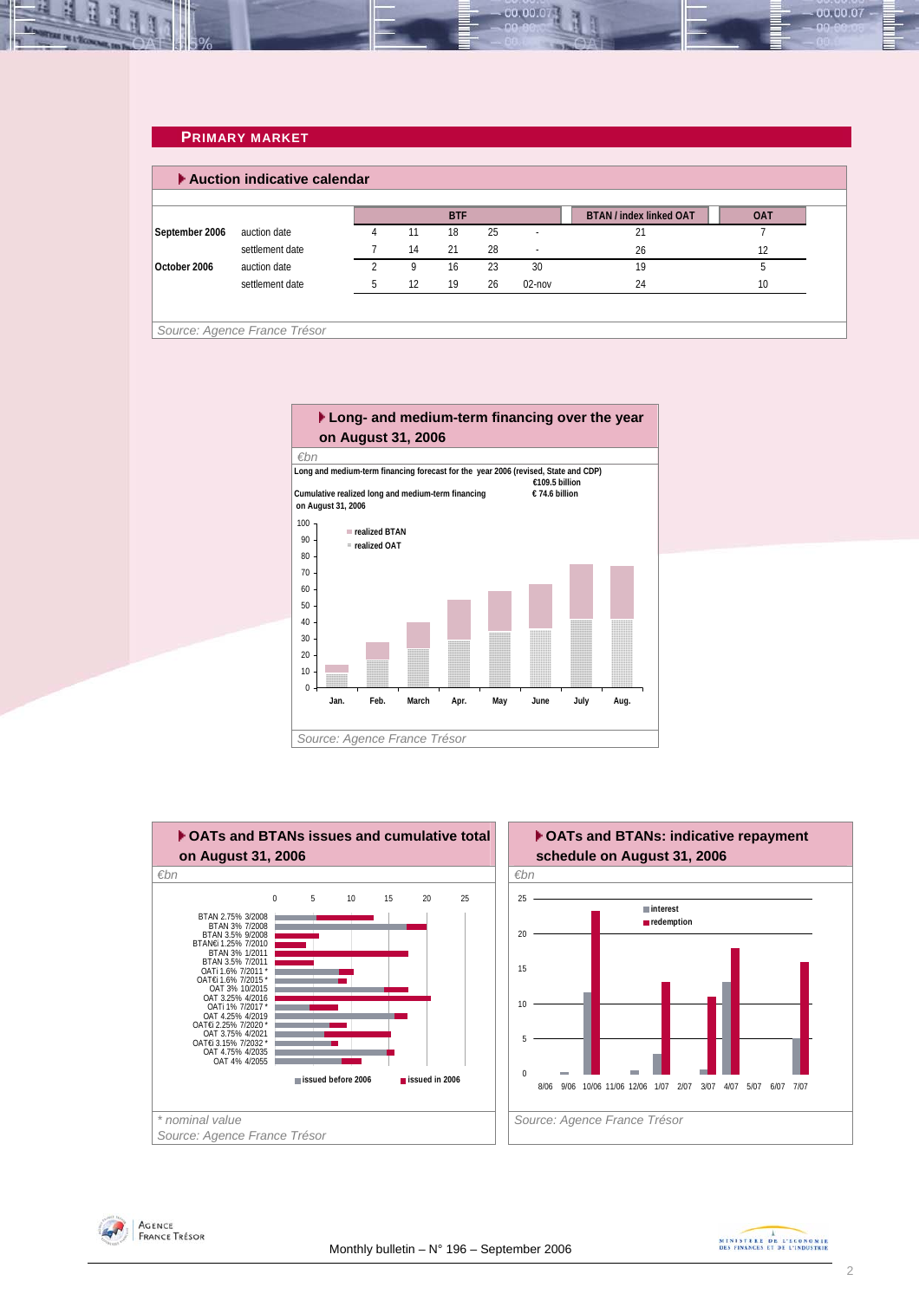### **PRIMARY MARKET**

<span id="page-1-0"></span>L. 里

|                |                 |    | <b>BTF</b> |    |           | <b>BTAN / index linked OAT</b> | <b>OAT</b> |
|----------------|-----------------|----|------------|----|-----------|--------------------------------|------------|
| September 2006 | auction date    | 11 | 18         | 25 |           | 21                             |            |
|                | settlement date | 14 | 21         | 28 |           | 26                             | 12         |
| October 2006   | auction date    | 9  | 16         | 23 | 30        | 19                             | h          |
|                | settlement date | 12 | 19         | 26 | $02$ -nov | 24                             | 10         |

00.00.07







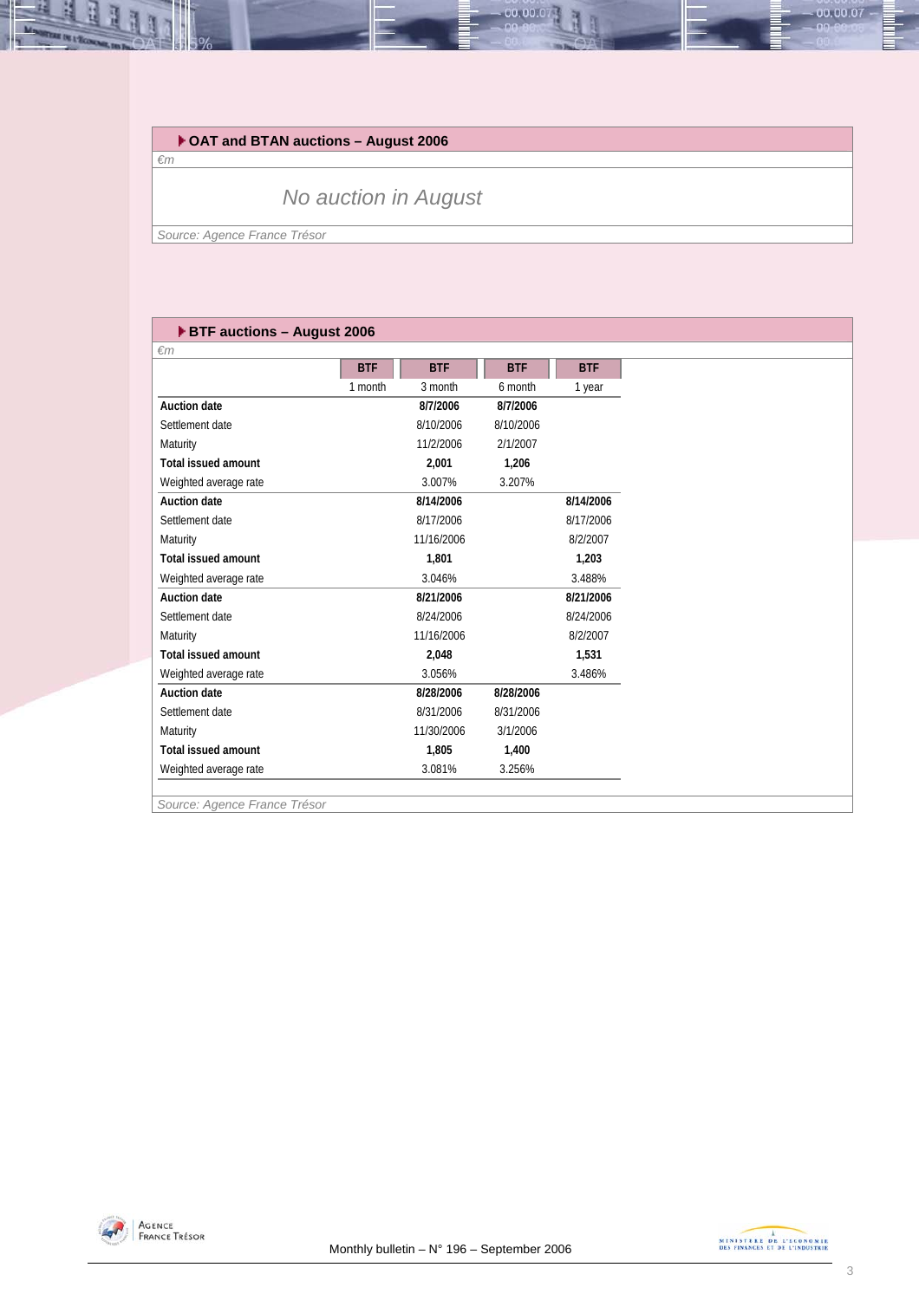

*€m*

11

### *No auction in August*

*Source: Agence France Trésor* 

### **BTF auctions – August 2006**

| $\epsilon$ m               |            |            |            |            |
|----------------------------|------------|------------|------------|------------|
|                            | <b>BTF</b> | <b>BTF</b> | <b>BTF</b> | <b>BTF</b> |
|                            | 1 month    | 3 month    | 6 month    | 1 year     |
| Auction date               |            | 8/7/2006   | 8/7/2006   |            |
| Settlement date            |            | 8/10/2006  | 8/10/2006  |            |
| Maturity                   |            | 11/2/2006  | 2/1/2007   |            |
| <b>Total issued amount</b> |            | 2.001      | 1,206      |            |
| Weighted average rate      |            | 3.007%     | 3.207%     |            |
| Auction date               |            | 8/14/2006  |            | 8/14/2006  |
| Settlement date            |            | 8/17/2006  |            | 8/17/2006  |
| Maturity                   |            | 11/16/2006 |            | 8/2/2007   |
| <b>Total issued amount</b> |            | 1,801      |            | 1,203      |
| Weighted average rate      |            | 3.046%     |            | 3.488%     |
| <b>Auction date</b>        |            | 8/21/2006  |            | 8/21/2006  |
| Settlement date            |            | 8/24/2006  |            | 8/24/2006  |
| Maturity                   |            | 11/16/2006 |            | 8/2/2007   |
| <b>Total issued amount</b> |            | 2.048      |            | 1,531      |
| Weighted average rate      |            | 3.056%     |            | 3.486%     |
| Auction date               |            | 8/28/2006  | 8/28/2006  |            |
| Settlement date            |            | 8/31/2006  | 8/31/2006  |            |
| Maturity                   |            | 11/30/2006 | 3/1/2006   |            |
| <b>Total issued amount</b> |            | 1,805      | 1,400      |            |
| Weighted average rate      |            | 3.081%     | 3.256%     |            |
|                            |            |            |            |            |

00.00.0

*Source: Agence France Trésor* 



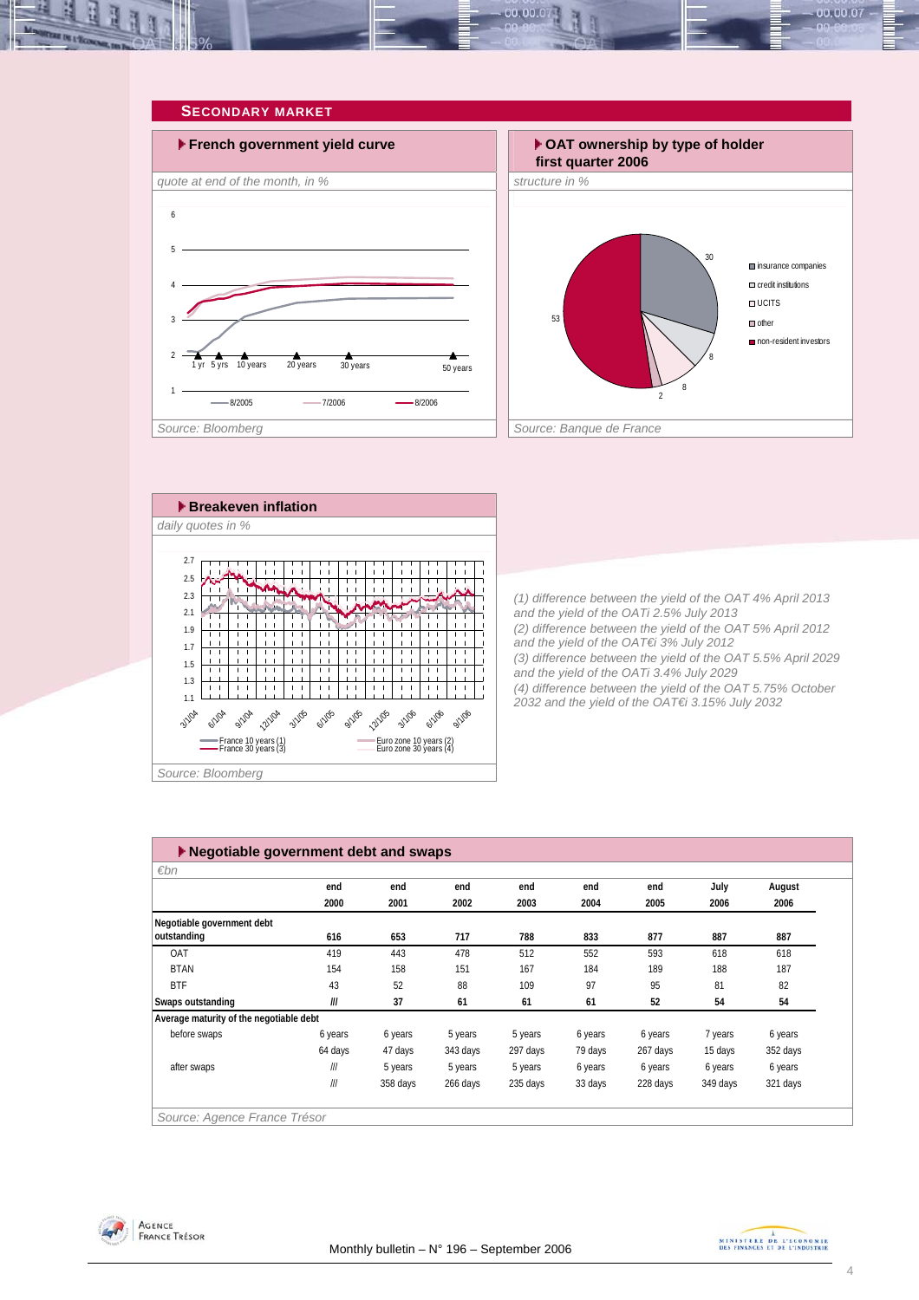<span id="page-3-0"></span>







*(1) difference between the yield of the OAT 4% April 2013 and the yield of the OATi 2.5% July 2013 (2) difference between the yield of the OAT 5% April 2012 and the yield of the OAT€i 3% July 2012 (3) difference between the yield of the OAT 5.5% April 2029 and the yield of the OATi 3.4% July 2029 (4) difference between the yield of the OAT 5.75% October 2032 and the yield of the OAT€i 3.15% July 2032* 

| $\varepsilon$ bn                        |         |          |          |          |         |          |          |          |
|-----------------------------------------|---------|----------|----------|----------|---------|----------|----------|----------|
|                                         | end     | end      | end      | end      | end     | end      | July     | August   |
|                                         | 2000    | 2001     | 2002     | 2003     | 2004    | 2005     | 2006     | 2006     |
| Negotiable government debt              |         |          |          |          |         |          |          |          |
| outstanding                             | 616     | 653      | 717      | 788      | 833     | 877      | 887      | 887      |
| OAT                                     | 419     | 443      | 478      | 512      | 552     | 593      | 618      | 618      |
| <b>BTAN</b>                             | 154     | 158      | 151      | 167      | 184     | 189      | 188      | 187      |
| <b>BTF</b>                              | 43      | 52       | 88       | 109      | 97      | 95       | 81       | 82       |
| Swaps outstanding                       | III     | 37       | 61       | 61       | 61      | 52       | 54       | 54       |
| Average maturity of the negotiable debt |         |          |          |          |         |          |          |          |
| before swaps                            | 6 years | 6 years  | 5 years  | 5 years  | 6 years | 6 years  | 7 years  | 6 years  |
|                                         | 64 days | 47 days  | 343 days | 297 days | 79 days | 267 days | 15 days  | 352 days |
| after swaps                             | III     | 5 years  | 5 years  | 5 years  | 6 years | 6 years  | 6 years  | 6 years  |
|                                         | III     | 358 days | 266 days | 235 days | 33 days | 228 days | 349 days | 321 days |

Agence<br>France Trésor

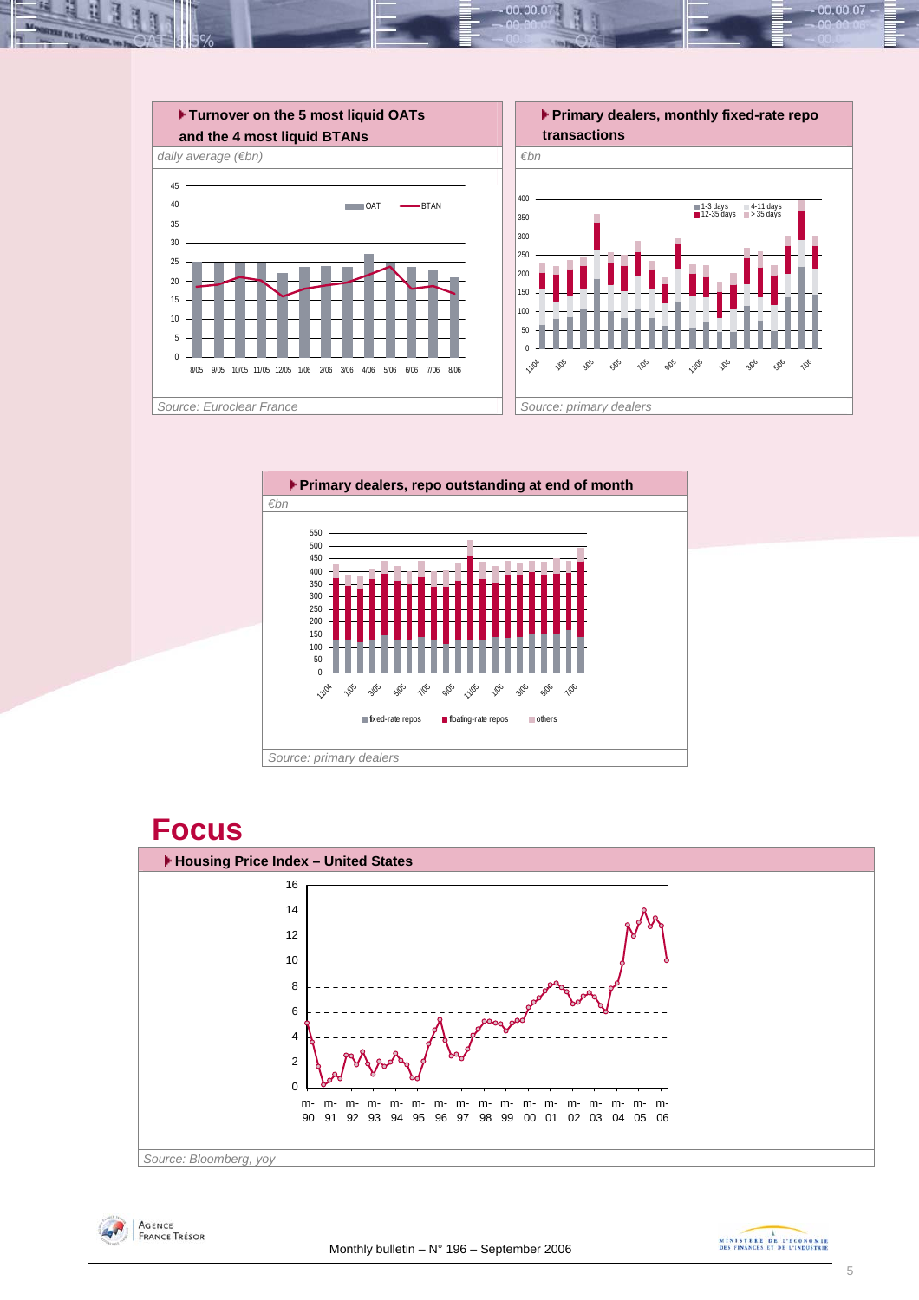

10.00.0



# **Focus**





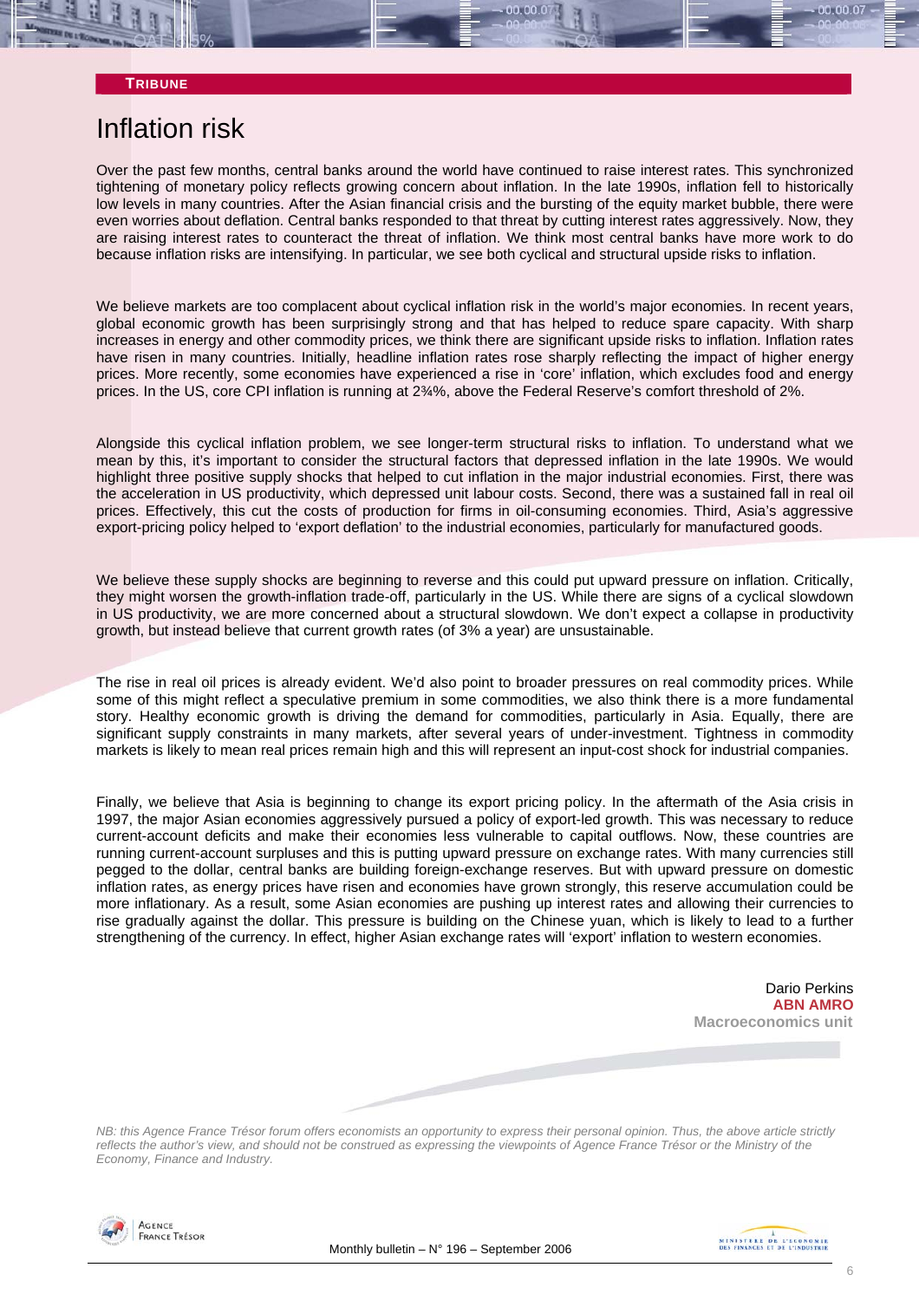### **TRIBUNE**

## Inflation risk

Over the past few months, central banks around the world have continued to raise interest rates. This synchronized tightening of monetary policy reflects growing concern about inflation. In the late 1990s, inflation fell to historically low levels in many countries. After the Asian financial crisis and the bursting of the equity market bubble, there were even worries about deflation. Central banks responded to that threat by cutting interest rates aggressively. Now, they are raising interest rates to counteract the threat of inflation. We think most central banks have more work to do because inflation risks are intensifying. In particular, we see both cyclical and structural upside risks to inflation.

We believe markets are too complacent about cyclical inflation risk in the world's major economies. In recent years, global economic growth has been surprisingly strong and that has helped to reduce spare capacity. With sharp increases in energy and other commodity prices, we think there are significant upside risks to inflation. Inflation rates have risen in many countries. Initially, headline inflation rates rose sharply reflecting the impact of higher energy prices. More recently, some economies have experienced a rise in 'core' inflation, which excludes food and energy prices. In the US, core CPI inflation is running at 2¾%, above the Federal Reserve's comfort threshold of 2%.

Alongside this cyclical inflation problem, we see longer-term structural risks to inflation. To understand what we mean by this, it's important to consider the structural factors that depressed inflation in the late 1990s. We would highlight three positive supply shocks that helped to cut inflation in the major industrial economies. First, there was the acceleration in US productivity, which depressed unit labour costs. Second, there was a sustained fall in real oil prices. Effectively, this cut the costs of production for firms in oil-consuming economies. Third, Asia's aggressive export-pricing policy helped to 'export deflation' to the industrial economies, particularly for manufactured goods.

We believe these supply shocks are beginning to reverse and this could put upward pressure on inflation. Critically, they might worsen the growth-inflation trade-off, particularly in the US. While there are signs of a cyclical slowdown in US productivity, we are more concerned about a structural slowdown. We don't expect a collapse in productivity growth, but instead believe that current growth rates (of 3% a year) are unsustainable.

The rise in real oil prices is already evident. We'd also point to broader pressures on real commodity prices. While some of this might reflect a speculative premium in some commodities, we also think there is a more fundamental story. Healthy economic growth is driving the demand for commodities, particularly in Asia. Equally, there are significant supply constraints in many markets, after several years of under-investment. Tightness in commodity markets is likely to mean real prices remain high and this will represent an input-cost shock for industrial companies.

Finally, we believe that Asia is beginning to change its export pricing policy. In the aftermath of the Asia crisis in 1997, the major Asian economies aggressively pursued a policy of export-led growth. This was necessary to reduce current-account deficits and make their economies less vulnerable to capital outflows. Now, these countries are running current-account surpluses and this is putting upward pressure on exchange rates. With many currencies still pegged to the dollar, central banks are building foreign-exchange reserves. But with upward pressure on domestic inflation rates, as energy prices have risen and economies have grown strongly, this reserve accumulation could be more inflationary. As a result, some Asian economies are pushing up interest rates and allowing their currencies to rise gradually against the dollar. This pressure is building on the Chinese yuan, which is likely to lead to a further strengthening of the currency. In effect, higher Asian exchange rates will 'export' inflation to western economies.



*NB: this Agence France Trésor forum offers economists an opportunity to express their personal opinion. Thus, the above article strictly reflects the author's view, and should not be construed as expressing the viewpoints of Agence France Trésor or the Ministry of the Economy, Finance and Industry.* 



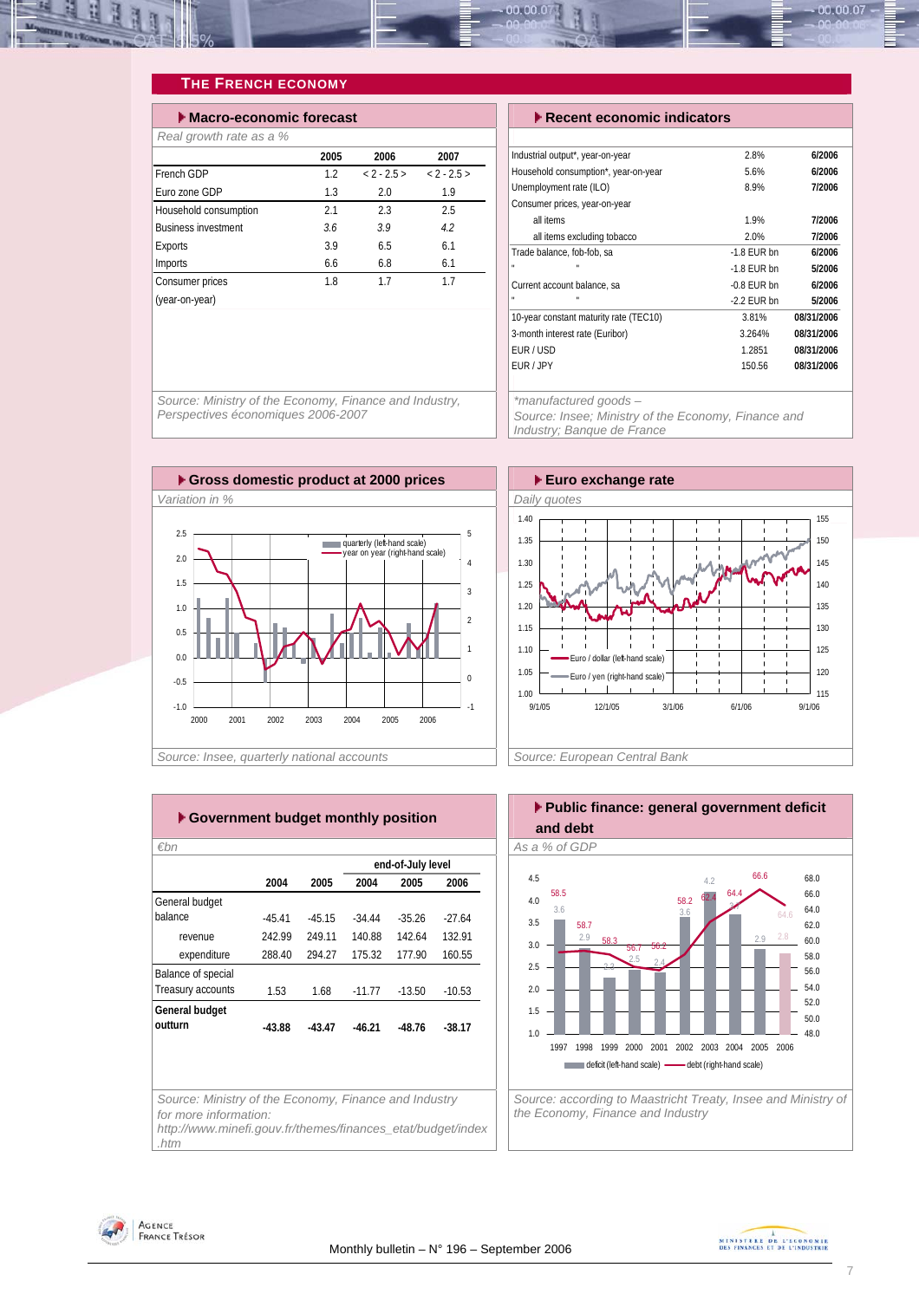<span id="page-6-0"></span>

### **THE FRENCH ECONOMY**

| $\blacktriangleright$ Macro-economic forecast |      |          |          |  |  |  |  |  |
|-----------------------------------------------|------|----------|----------|--|--|--|--|--|
| Real growth rate as a %                       |      |          |          |  |  |  |  |  |
|                                               | 2005 | 2006     | 2007     |  |  |  |  |  |
| French GDP                                    | 1.2  | $2 - 25$ | $2 - 25$ |  |  |  |  |  |
| Euro zone GDP                                 | 1.3  | 2.0      | 1.9      |  |  |  |  |  |
| Household consumption                         | 2.1  | 2.3      | 2.5      |  |  |  |  |  |
| <b>Business investment</b>                    | 3.6  | 3.9      | 4.2      |  |  |  |  |  |
| Exports                                       | 3.9  | 6.5      | 6.1      |  |  |  |  |  |
| Imports                                       | 6.6  | 6.8      | 6.1      |  |  |  |  |  |
| Consumer prices                               | 1.8  | 17       | 17       |  |  |  |  |  |
| (year-on-year)                                |      |          |          |  |  |  |  |  |

#### **Execent economic indicators**

| Industrial output*, year-on-year       | 2.8%          | 6/2006     |
|----------------------------------------|---------------|------------|
| Household consumption*, year-on-year   | 5.6%          | 6/2006     |
| Unemployment rate (ILO)                | 8.9%          | 7/2006     |
| Consumer prices, year-on-year          |               |            |
| all items                              | 1.9%          | 7/2006     |
| all items excluding tobacco            | 2.0%          | 7/2006     |
| Trade balance, fob-fob, sa             | $-1.8$ FUR bn | 6/2006     |
| u,<br>$\mathbf{u}$                     | $-1.8$ FUR bn | 5/2006     |
| Current account balance, sa            | $-0.8$ FUR bn | 6/2006     |
| u                                      | $-2.2$ FUR bn | 5/2006     |
| 10-year constant maturity rate (TEC10) | 3.81%         | 08/31/2006 |
| 3-month interest rate (Euribor)        | 3.264%        | 08/31/2006 |
| EUR/USD                                | 1.2851        | 08/31/2006 |
| FUR / JPY                              | 150.56        | 08/31/2006 |
|                                        |               |            |

*\*manufactured goods –* 

*Source: Insee; Ministry of the Economy, Finance and Industry; Banque de France* 

*Source: Ministry of the Economy, Finance and Industry, Perspectives économiques 2006-2007* 





| ► Government budget monthly position    |          |          |          |                   |          |  |  |  |  |  |
|-----------------------------------------|----------|----------|----------|-------------------|----------|--|--|--|--|--|
| €bn                                     |          |          |          |                   |          |  |  |  |  |  |
|                                         |          |          |          | end-of-July level |          |  |  |  |  |  |
|                                         | 2004     | 2005     | 2004     | 2005              | 2006     |  |  |  |  |  |
| General budget                          |          |          |          |                   |          |  |  |  |  |  |
| balance                                 | $-45.41$ | $-4515$  | $-34.44$ | $-35.26$          | $-27.64$ |  |  |  |  |  |
| revenue                                 | 242.99   | 249 11   | 140.88   | 142.64            | 132.91   |  |  |  |  |  |
| expenditure                             | 288.40   | 294.27   | 175.32   | 177.90            | 160.55   |  |  |  |  |  |
| Balance of special<br>Treasury accounts | 1.53     | 1.68     | $-11.77$ | $-13.50$          | $-10.53$ |  |  |  |  |  |
| General budget<br>outturn               | $-43.88$ | $-43.47$ | $-46.21$ | $-48.76$          | $-38.17$ |  |  |  |  |  |
|                                         |          |          |          |                   |          |  |  |  |  |  |



*http://www.minefi.gouv.fr/themes/finances\_etat/budget/index .htm*



*the Economy, Finance and Industry* 



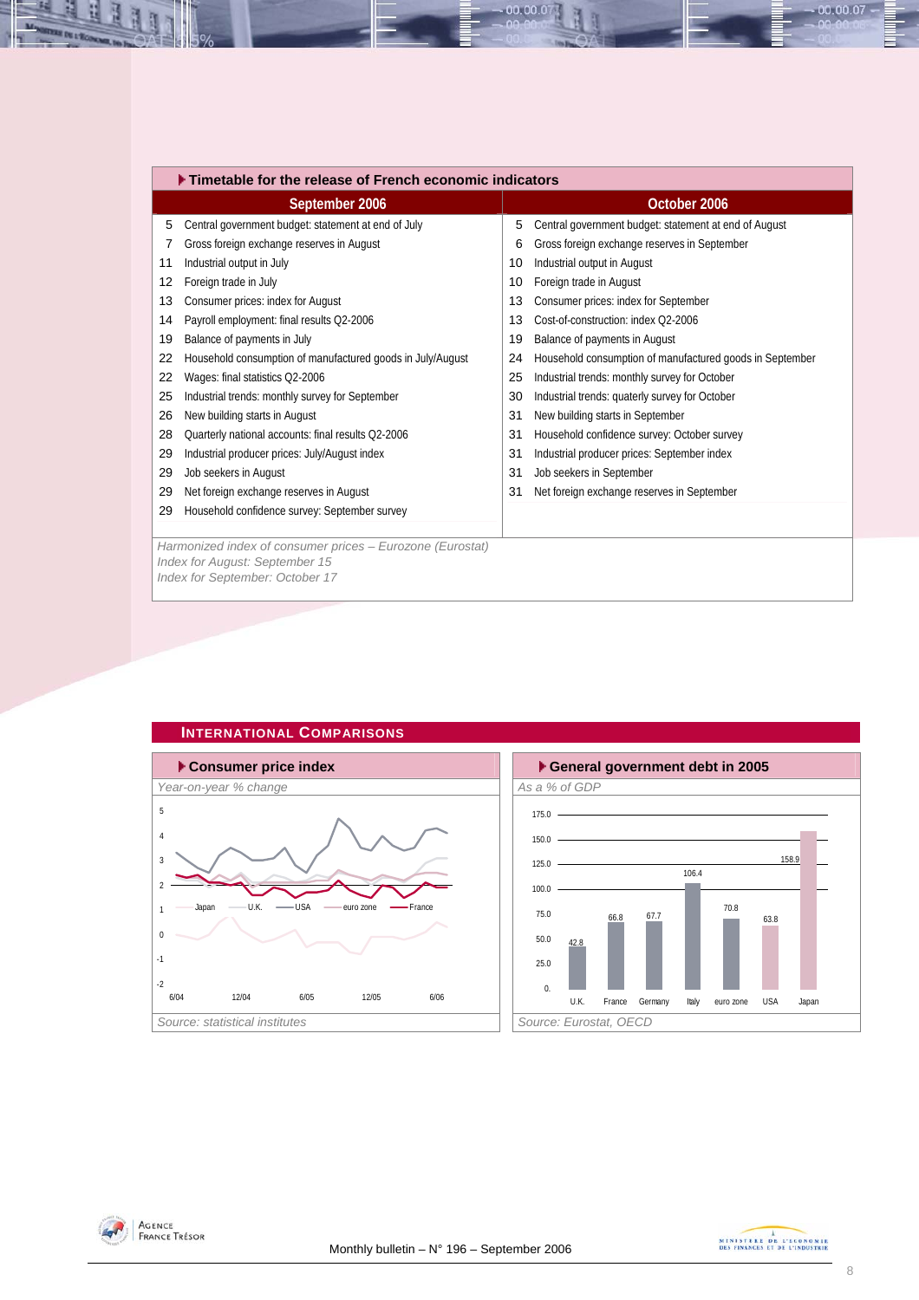<span id="page-7-0"></span>

|    | $\blacktriangleright$ Timetable for the release of French economic indicators |    |                                                          |  |  |  |  |  |  |
|----|-------------------------------------------------------------------------------|----|----------------------------------------------------------|--|--|--|--|--|--|
|    | September 2006                                                                |    | October 2006                                             |  |  |  |  |  |  |
| 5  | Central government budget: statement at end of July                           | 5  | Central government budget: statement at end of August    |  |  |  |  |  |  |
| 7  | Gross foreign exchange reserves in August                                     | 6  | Gross foreign exchange reserves in September             |  |  |  |  |  |  |
| 11 | Industrial output in July                                                     | 10 | Industrial output in August                              |  |  |  |  |  |  |
| 12 | Foreign trade in July                                                         | 10 | Foreign trade in August                                  |  |  |  |  |  |  |
| 13 | Consumer prices: index for August                                             | 13 | Consumer prices: index for September                     |  |  |  |  |  |  |
| 14 | Payroll employment: final results Q2-2006                                     | 13 | Cost-of-construction: index O2-2006                      |  |  |  |  |  |  |
| 19 | Balance of payments in July                                                   | 19 | Balance of payments in August                            |  |  |  |  |  |  |
| 22 | Household consumption of manufactured goods in July/August                    | 24 | Household consumption of manufactured goods in September |  |  |  |  |  |  |
| 22 | Wages: final statistics Q2-2006                                               | 25 | Industrial trends: monthly survey for October            |  |  |  |  |  |  |
| 25 | Industrial trends: monthly survey for September                               | 30 | Industrial trends: quaterly survey for October           |  |  |  |  |  |  |
| 26 | New building starts in August                                                 | 31 | New building starts in September                         |  |  |  |  |  |  |
| 28 | Quarterly national accounts: final results Q2-2006                            | 31 | Household confidence survey: October survey              |  |  |  |  |  |  |
| 29 | Industrial producer prices: July/August index                                 | 31 | Industrial producer prices: September index              |  |  |  |  |  |  |
| 29 | Job seekers in August                                                         | 31 | Job seekers in September                                 |  |  |  |  |  |  |
| 29 | Net foreign exchange reserves in August                                       | 31 | Net foreign exchange reserves in September               |  |  |  |  |  |  |
| 29 | Household confidence survey: September survey                                 |    |                                                          |  |  |  |  |  |  |
|    |                                                                               |    |                                                          |  |  |  |  |  |  |
|    | Harmonized index of consumer prices - Eurozone (Eurostat)                     |    |                                                          |  |  |  |  |  |  |
|    | Index for August: September 15<br>Index for September: October 17             |    |                                                          |  |  |  |  |  |  |
|    |                                                                               |    |                                                          |  |  |  |  |  |  |

00.00.0







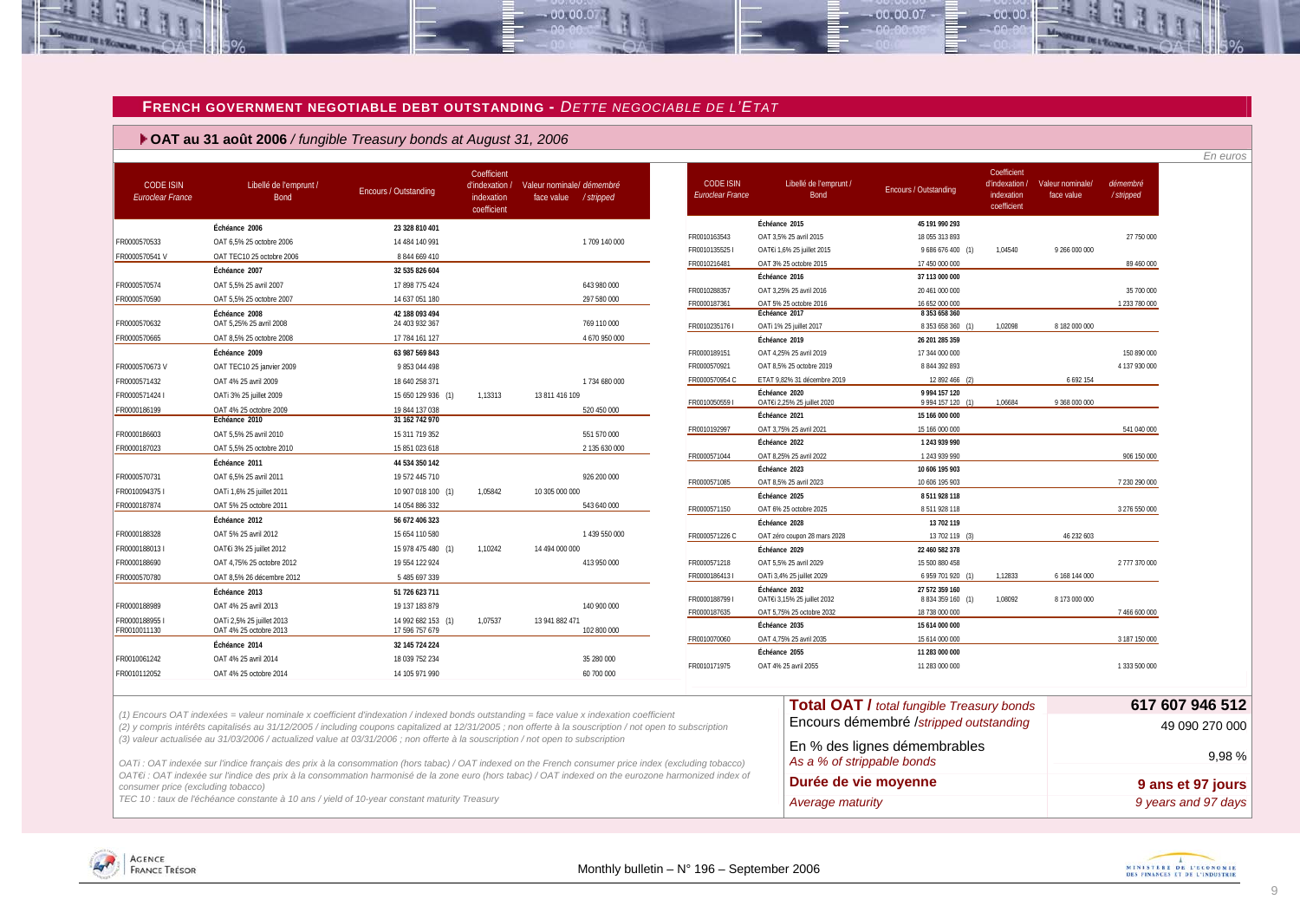### **FRENCH GOVERNMENT NEGOTIABLE DEBT OUTSTANDING -** *DETTE NEGOCIABLE DE L'ETAT*

 $-00.00.07$ 

 **OAT au 31 août 2006** */ fungible Treasury bonds at August 31, 2006*

**SER PE L'ÉCON** 

|                                             |                                                                                                                                 |                                      |                                                            |                                                                                                                                                           |                                      |                                              |                                                            |                                                            |                                |                             | En euros            |
|---------------------------------------------|---------------------------------------------------------------------------------------------------------------------------------|--------------------------------------|------------------------------------------------------------|-----------------------------------------------------------------------------------------------------------------------------------------------------------|--------------------------------------|----------------------------------------------|------------------------------------------------------------|------------------------------------------------------------|--------------------------------|-----------------------------|---------------------|
| <b>CODE ISIN</b><br><b>Euroclear France</b> | Libellé de l'emprunt /<br>Bond                                                                                                  | <b>Encours / Outstanding</b>         | Coefficient<br>d'indexation /<br>indexation<br>coefficient | Valeur nominale/ démembré<br>face value / stripped                                                                                                        | <b>CODE ISIN</b><br>Euroclear France | Libellé de l'emprunt /<br>Bond               | Encours / Outstanding                                      | Coefficient<br>d'indexation /<br>indexation<br>coefficient | Valeur nominale/<br>face value | démembré<br>/stripped       |                     |
|                                             | Échéance 2006                                                                                                                   | 23 328 810 401                       |                                                            |                                                                                                                                                           |                                      | Échéance 2015                                | 45 191 990 293                                             |                                                            |                                |                             |                     |
| FR0000570533                                | OAT 6.5% 25 octobre 2006                                                                                                        | 14 484 140 991                       |                                                            | 1 709 140 000                                                                                                                                             | FR0010163543                         | OAT 3,5% 25 avril 2015                       | 18 055 313 893                                             |                                                            |                                | 27 750 000                  |                     |
| FR0000570541V                               | OAT TEC10 25 octobre 2006                                                                                                       | 8 844 669 410                        |                                                            |                                                                                                                                                           | FR0010135525                         | OAT€i 1,6% 25 juillet 2015                   | 9 686 676 400 (1)                                          | 1,04540                                                    | 9 266 000 000                  |                             |                     |
|                                             | Échéance 2007                                                                                                                   | 32 535 826 604                       |                                                            |                                                                                                                                                           | FR0010216481                         | OAT 3% 25 octobre 2015                       | 17 450 000 000                                             |                                                            |                                | 89 460 000                  |                     |
| FR0000570574                                | OAT 5,5% 25 avril 2007                                                                                                          | 17 898 775 424                       |                                                            | 643 980 000                                                                                                                                               |                                      | Échéance 2016<br>OAT 3,25% 25 avril 2016     | 37 113 000 000                                             |                                                            |                                |                             |                     |
| FR0000570590                                | OAT 5,5% 25 octobre 2007                                                                                                        | 14 637 051 180                       |                                                            | 297 580 000                                                                                                                                               | FR0010288357<br>FR0000187361         | OAT 5% 25 octobre 2016                       | 20 461 000 000<br>16 652 000 000                           |                                                            |                                | 35 700 000<br>1 233 780 000 |                     |
| FR0000570632                                | Échéance 2008<br>OAT 5,25% 25 avril 2008                                                                                        | 42 188 093 494<br>24 403 932 367     |                                                            | 769 110 000                                                                                                                                               | FR0010235176                         | Échéance 2017<br>OATi 1% 25 juillet 2017     | 8 353 658 360<br>8 353 658 360 (1)                         | 1,02098                                                    | 8 182 000 000                  |                             |                     |
| FR0000570665                                | OAT 8,5% 25 octobre 2008                                                                                                        | 17 784 161 127                       |                                                            | 4 670 950 000                                                                                                                                             |                                      | Échéance 2019                                | 26 201 285 359                                             |                                                            |                                |                             |                     |
|                                             | Échéance 2009                                                                                                                   | 63 987 569 843                       |                                                            |                                                                                                                                                           | FR0000189151                         | OAT 4,25% 25 avril 2019                      | 17 344 000 000                                             |                                                            |                                | 150 890 000                 |                     |
| FR0000570673V                               | OAT TEC10 25 janvier 2009                                                                                                       | 9853044498                           |                                                            |                                                                                                                                                           | FR0000570921                         | OAT 8,5% 25 octobre 2019                     | 8 844 392 893                                              |                                                            |                                | 4 137 930 000               |                     |
| FR0000571432                                | OAT 4% 25 avril 2009                                                                                                            | 18 640 258 371                       |                                                            | 1734 680 000                                                                                                                                              | FR0000570954 C                       | ETAT 9,82% 31 décembre 2019                  | 12 892 466 (2)                                             |                                                            | 6 692 154                      |                             |                     |
| FR0000571424 I                              | OATi 3% 25 juillet 2009                                                                                                         | 15 650 129 936 (1)                   | 1,13313                                                    | 13 811 416 109                                                                                                                                            | FR00100505591                        | Échéance 2020<br>OAT€i 2,25% 25 juillet 2020 | 9 9 9 1 1 5 7 1 2 0<br>9 9 9 4 1 5 7 1 2 0 (1)             | 1,06684                                                    | 9 368 000 000                  |                             |                     |
| FR0000186199                                | OAT 4% 25 octobre 2009                                                                                                          | 19 844 137 038                       |                                                            | 520 450 000                                                                                                                                               |                                      | Échéance 2021                                | 15 166 000 000                                             |                                                            |                                |                             |                     |
|                                             | Échéance 2010                                                                                                                   | 31 162 742 970                       |                                                            |                                                                                                                                                           | FR0010192997                         | OAT 3.75% 25 avril 2021                      | 15 166 000 000                                             |                                                            |                                | 541 040 000                 |                     |
| FR0000186603                                | OAT 5,5% 25 avril 2010                                                                                                          | 15 311 719 352                       |                                                            | 551 570 000                                                                                                                                               |                                      | Échéance 2022                                | 1 243 939 990                                              |                                                            |                                |                             |                     |
| FR0000187023                                | OAT 5.5% 25 octobre 2010                                                                                                        | 15 851 023 618                       |                                                            | 2 135 630 000                                                                                                                                             | FR0000571044                         | OAT 8.25% 25 avril 2022                      | 1 243 939 990                                              |                                                            |                                | 906 150 000                 |                     |
|                                             | Échéance 2011                                                                                                                   | 44 534 350 142                       |                                                            |                                                                                                                                                           |                                      | Échéance 2023                                | 10 606 195 903                                             |                                                            |                                |                             |                     |
| FR0000570731                                | OAT 6,5% 25 avril 2011                                                                                                          | 19 572 445 710                       |                                                            | 926 200 000                                                                                                                                               | FR0000571085                         | OAT 8.5% 25 avril 2023                       | 10 606 195 903                                             |                                                            |                                | 7 230 290 000               |                     |
| FR00100943751                               | OATi 1,6% 25 juillet 2011                                                                                                       | 10 907 018 100 (1)                   | 1,05842                                                    | 10 305 000 000                                                                                                                                            |                                      | Échéance 2025                                | 8 5 1 9 2 8 1 1 8                                          |                                                            |                                |                             |                     |
| FR0000187874                                | OAT 5% 25 octobre 2011                                                                                                          | 14 054 886 332                       |                                                            | 543 640 000                                                                                                                                               | FR0000571150                         | OAT 6% 25 octobre 2025                       | 8511928118                                                 |                                                            |                                | 3 276 550 000               |                     |
|                                             | Échéance 2012                                                                                                                   | 56 672 406 323                       |                                                            |                                                                                                                                                           |                                      | Échéance 2028                                | 13 702 119                                                 |                                                            |                                |                             |                     |
| FR0000188328                                | OAT 5% 25 avril 2012                                                                                                            | 15 654 110 580                       |                                                            | 1 439 550 000                                                                                                                                             | FR0000571226 C                       | OAT zéro coupon 28 mars 2028                 | 13 702 119                                                 |                                                            | 46 232 603                     |                             |                     |
| FR00001880131                               | OAT€i 3% 25 juillet 2012                                                                                                        | 15 978 475 480 (1)                   | 1,10242                                                    | 14 494 000 000                                                                                                                                            |                                      | Échéance 2029                                | 22 460 582 378                                             |                                                            |                                |                             |                     |
| FR0000188690                                | OAT 4.75% 25 octobre 2012                                                                                                       | 19 554 122 924                       |                                                            | 413 950 000                                                                                                                                               | FR0000571218                         | OAT 5,5% 25 avril 2029                       | 15 500 880 458                                             |                                                            |                                | 2 777 370 000               |                     |
| FR0000570780                                | OAT 8.5% 26 décembre 2012                                                                                                       | 5 485 697 339                        |                                                            |                                                                                                                                                           | FR00001864131                        | OATi 3,4% 25 juillet 2029<br>Échéance 2032   | 6 959 701 920 (1)<br>27 572 359 160                        | 1,12833                                                    | 6 168 144 000                  |                             |                     |
|                                             | Échéance 2013                                                                                                                   | 51 726 623 711                       |                                                            |                                                                                                                                                           | FR00001887991                        | OAT€i 3,15% 25 juillet 2032                  | 8 8 34 3 59 160 (1)                                        | 1,08092                                                    | 8 173 000 000                  |                             |                     |
| FR0000188989                                | OAT 4% 25 avril 2013                                                                                                            | 19 137 183 879                       |                                                            | 140 900 000                                                                                                                                               | FR0000187635                         | OAT 5,75% 25 octobre 2032                    | 18 738 000 000                                             |                                                            |                                | 7 466 600 000               |                     |
| FR00001889551<br>FR0010011130               | OATi 2,5% 25 juillet 2013<br>OAT 4% 25 octobre 2013                                                                             | 14 992 682 153 (1)<br>17 596 757 679 | 1.07537                                                    | 13 941 882 471<br>102 800 000                                                                                                                             |                                      | Échéance 2035                                | 15 614 000 000                                             |                                                            |                                |                             |                     |
|                                             | Échéance 2014                                                                                                                   | 32 145 724 224                       |                                                            |                                                                                                                                                           | FR0010070060                         | OAT 4.75% 25 avril 2035                      | 15 614 000 000                                             |                                                            |                                | 3 187 150 000               |                     |
| FR0010061242                                | OAT 4% 25 avril 2014                                                                                                            | 18 039 752 234                       |                                                            | 35 280 000                                                                                                                                                |                                      | Échéance 2055                                | 11 283 000 000                                             |                                                            |                                |                             |                     |
| FR0010112052                                | OAT 4% 25 octobre 2014                                                                                                          | 14 105 971 990                       |                                                            | 60 700 000                                                                                                                                                | FR0010171975                         | OAT 4% 25 avril 2055                         | 11 283 000 000                                             |                                                            |                                | 1 333 500 000               |                     |
|                                             |                                                                                                                                 |                                      |                                                            |                                                                                                                                                           |                                      |                                              |                                                            |                                                            |                                |                             |                     |
|                                             |                                                                                                                                 |                                      |                                                            | (1) Encours OAT indexées = valeur nominale x coefficient d'indexation / indexed bonds outstanding = face value x indexation coefficient                   |                                      |                                              | <b>Total OAT / total fungible Treasury bonds</b>           |                                                            |                                |                             | 617 607 946 512     |
|                                             |                                                                                                                                 |                                      |                                                            | (2) y compris intérêts capitalisés au 31/12/2005 / including coupons capitalized at 12/31/2005 ; non offerte à la souscription / not open to subscription |                                      |                                              | Encours démembré /stripped outstanding                     |                                                            |                                |                             | 49 090 270 000      |
|                                             | (3) valeur actualisée au 31/03/2006 / actualized value at 03/31/2006 ; non offerte à la souscription / not open to subscription |                                      |                                                            | OATi: OAT indexée sur l'indice français des prix à la consommation (hors tabac) / OAT indexed on the French consumer price index (excluding tobacco)      |                                      |                                              | En % des lignes démembrables<br>As a % of strippable bonds |                                                            |                                |                             | 9.98%               |
| consumer price (excluding tobacco)          |                                                                                                                                 |                                      |                                                            | OAT€i : OAT indexée sur l'indice des prix à la consommation harmonisé de la zone euro (hors tabac) / OAT indexed on the eurozone harmonized index of      |                                      |                                              | Durée de vie moyenne                                       |                                                            |                                |                             | 9 ans et 97 jours   |
|                                             | TEC 10 : taux de l'échéance constante à 10 ans / yield of 10-year constant maturity Treasury                                    |                                      |                                                            |                                                                                                                                                           |                                      | Average maturity                             |                                                            |                                                            |                                |                             | 9 vears and 97 davs |

00.00.07

 $00,00$ 

AGENCE

<span id="page-8-0"></span>**FRANCE TRÉSOR**